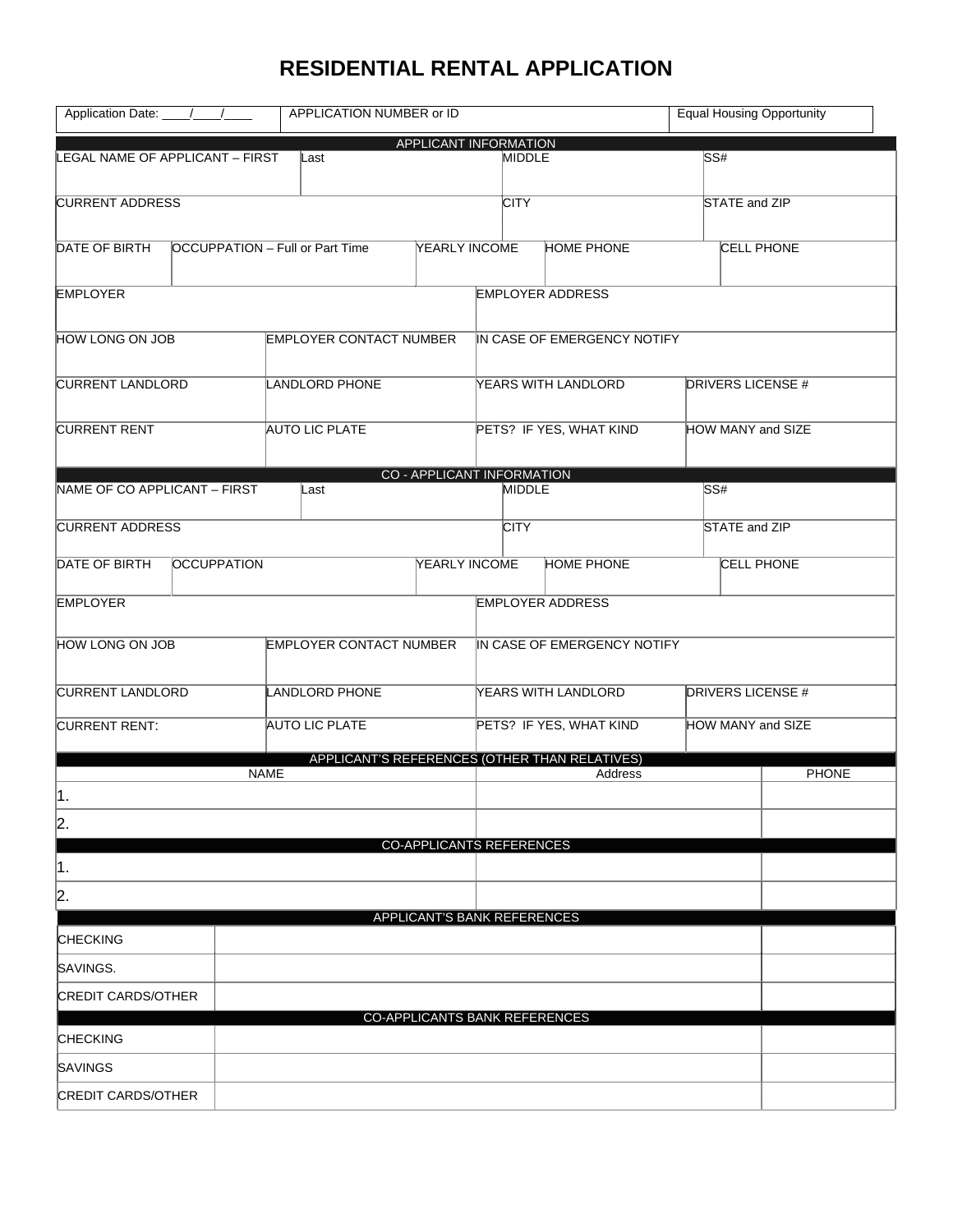## **RESIDENTIAL RENTAL APPLICATION**

|                                                   | APPLICATION NUMBER or ID<br>Application Date: ////// |                         |                                           |                                 |                                                          |                   | <b>Equal Housing Opportunity</b> |  |  |  |
|---------------------------------------------------|------------------------------------------------------|-------------------------|-------------------------------------------|---------------------------------|----------------------------------------------------------|-------------------|----------------------------------|--|--|--|
|                                                   |                                                      |                         |                                           | APPLICANT INFORMATION           |                                                          |                   |                                  |  |  |  |
| LEGAL NAME OF APPLICANT - FIRST                   |                                                      | Last                    |                                           | <b>MIDDLE</b>                   |                                                          | SS#               |                                  |  |  |  |
| <b>CURRENT ADDRESS</b>                            |                                                      |                         |                                           | <b>CITY</b>                     |                                                          |                   | STATE and ZIP                    |  |  |  |
|                                                   |                                                      |                         |                                           |                                 |                                                          |                   |                                  |  |  |  |
| DATE OF BIRTH<br>OCCUPPATION - Full or Part Time  |                                                      |                         | <b>YEARLY INCOME</b><br><b>HOME PHONE</b> |                                 |                                                          |                   | <b>CELL PHONE</b>                |  |  |  |
| <b>EMPLOYER</b>                                   |                                                      |                         |                                           |                                 | <b>EMPLOYER ADDRESS</b>                                  |                   |                                  |  |  |  |
| HOW LONG ON JOB<br><b>EMPLOYER CONTACT NUMBER</b> |                                                      |                         |                                           | IN CASE OF EMERGENCY NOTIFY     |                                                          |                   |                                  |  |  |  |
| <b>CURRENT LANDLORD</b>                           |                                                      | LANDLORD PHONE          |                                           | YEARS WITH LANDLORD             |                                                          |                   | <b>DRIVERS LICENSE #</b>         |  |  |  |
| <b>CURRENT RENT</b>                               | <b>AUTO LIC PLATE</b>                                |                         |                                           | PETS? IF YES, WHAT KIND         |                                                          | HOW MANY and SIZE |                                  |  |  |  |
|                                                   |                                                      |                         |                                           | CO - APPLICANT INFORMATION      |                                                          |                   |                                  |  |  |  |
| NAME OF CO APPLICANT - FIRST                      |                                                      | Last                    |                                           |                                 | <b>MIDDLE</b>                                            | SS#               |                                  |  |  |  |
| <b>CURRENT ADDRESS</b>                            |                                                      |                         |                                           | <b>CITY</b>                     |                                                          |                   | STATE and ZIP                    |  |  |  |
| DATE OF BIRTH<br><b>OCCUPPATION</b>               |                                                      |                         | <b>YEARLY INCOME</b>                      |                                 | <b>HOME PHONE</b>                                        | <b>CELL PHONE</b> |                                  |  |  |  |
| <b>EMPLOYER</b>                                   |                                                      |                         |                                           |                                 | <b>EMPLOYER ADDRESS</b>                                  |                   |                                  |  |  |  |
| HOW LONG ON JOB                                   |                                                      | EMPLOYER CONTACT NUMBER |                                           | IN CASE OF EMERGENCY NOTIFY     |                                                          |                   |                                  |  |  |  |
|                                                   |                                                      |                         |                                           |                                 |                                                          |                   |                                  |  |  |  |
| <b>CURRENT LANDLORD</b>                           |                                                      | <b>LANDLORD PHONE</b>   |                                           | YEARS WITH LANDLORD             |                                                          |                   | <b>DRIVERS LICENSE #</b>         |  |  |  |
| <b>CURRENT RENT:</b>                              |                                                      | <b>AUTO LIC PLATE</b>   |                                           |                                 | PETS? IF YES, WHAT KIND                                  | HOW MANY and SIZE |                                  |  |  |  |
|                                                   | <b>NAME</b>                                          |                         |                                           |                                 | APPLICANT'S REFERENCES (OTHER THAN RELATIVES)<br>Address |                   | PHONE                            |  |  |  |
| ∦.                                                |                                                      |                         |                                           |                                 |                                                          |                   |                                  |  |  |  |
| 2.                                                |                                                      |                         |                                           |                                 |                                                          |                   |                                  |  |  |  |
|                                                   |                                                      |                         |                                           | <b>CO-APPLICANTS REFERENCES</b> |                                                          |                   |                                  |  |  |  |
| ∥1.                                               |                                                      |                         |                                           |                                 |                                                          |                   |                                  |  |  |  |
| 2.                                                |                                                      |                         |                                           |                                 |                                                          |                   |                                  |  |  |  |
| <b>CHECKING</b>                                   |                                                      |                         |                                           | APPLICANT'S BANK REFERENCES     |                                                          |                   |                                  |  |  |  |
| SAVINGS.                                          |                                                      |                         |                                           |                                 |                                                          |                   |                                  |  |  |  |
| <b>CREDIT CARDS/OTHER</b>                         |                                                      |                         |                                           |                                 |                                                          |                   |                                  |  |  |  |
| <b>CHECKING</b>                                   |                                                      |                         |                                           | CO-APPLICANTS BANK REFERENCES   |                                                          |                   |                                  |  |  |  |
| SAVINGS                                           |                                                      |                         |                                           |                                 |                                                          |                   |                                  |  |  |  |
| <b>CREDIT CARDS/OTHER</b>                         |                                                      |                         |                                           |                                 |                                                          |                   |                                  |  |  |  |